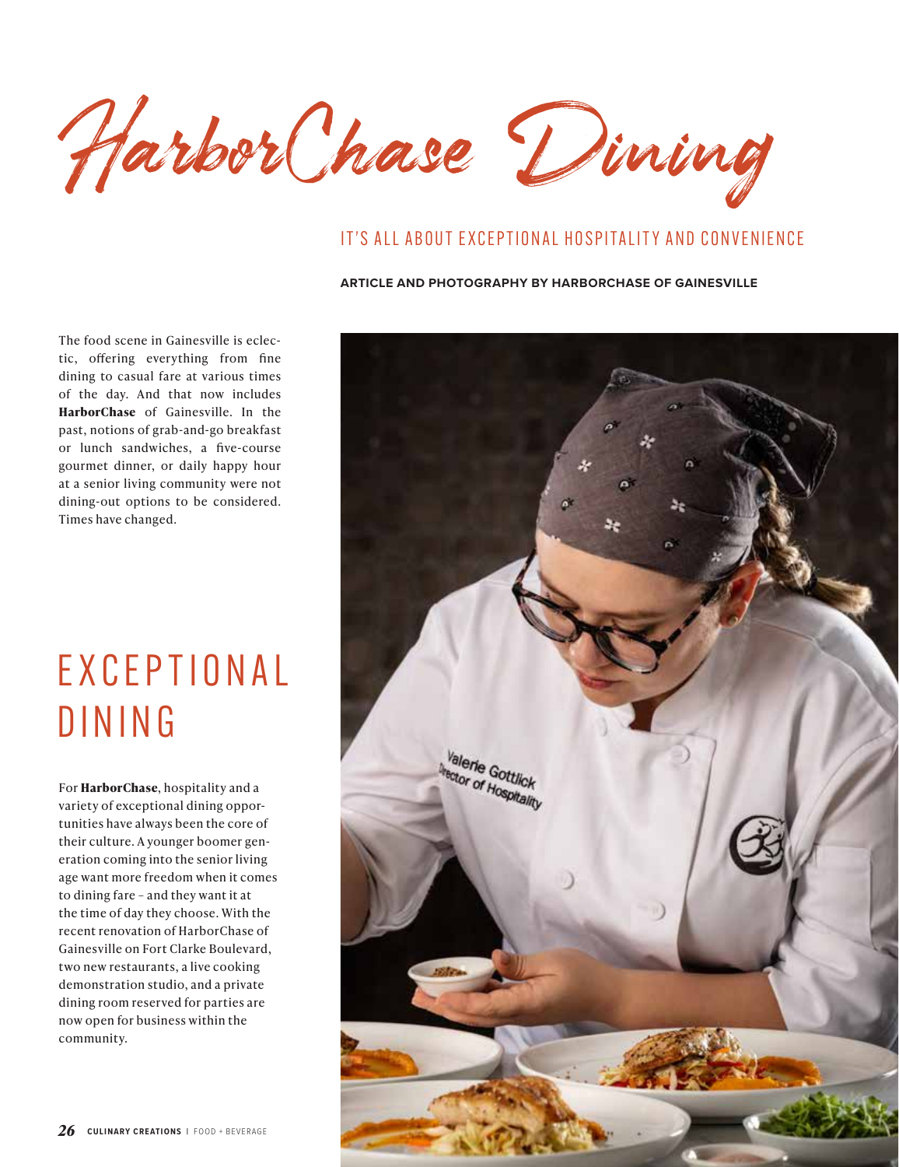HarborChase Dining

#### IT'S ALL ABOUT EXCEPTIONAL HOSPITALITY AND CONVENIENCE

#### **ARTICLE AND PHOTOGRAPHY BY HARBORCHASE OF GAINESVILLE**

The food scene in Gainesville is eclectic, offering everything from fine dining to casual fare at various times of the day. And that now includes **HarborChase** of Gainesville. In the past, notions of grab-and-go breakfast or lunch sandwiches, a five-course gourmet dinner, or daily happy hour at a senior living community were not dining-out options to be considered. Times have changed.

# E X C E P T I O N A L DINING

For **HarborChase**, hospitality and a variety of exceptional dining opportunities have always been the core of their culture. A younger boomer generation coming into the senior living age want more freedom when it comes to dining fare – and they want it at the time of day they choose. With the recent renovation of HarborChase of Gainesville on Fort Clarke Boulevard, two new restaurants, a live cooking demonstration studio, and a private dining room reserved for parties are now open for business within the community.